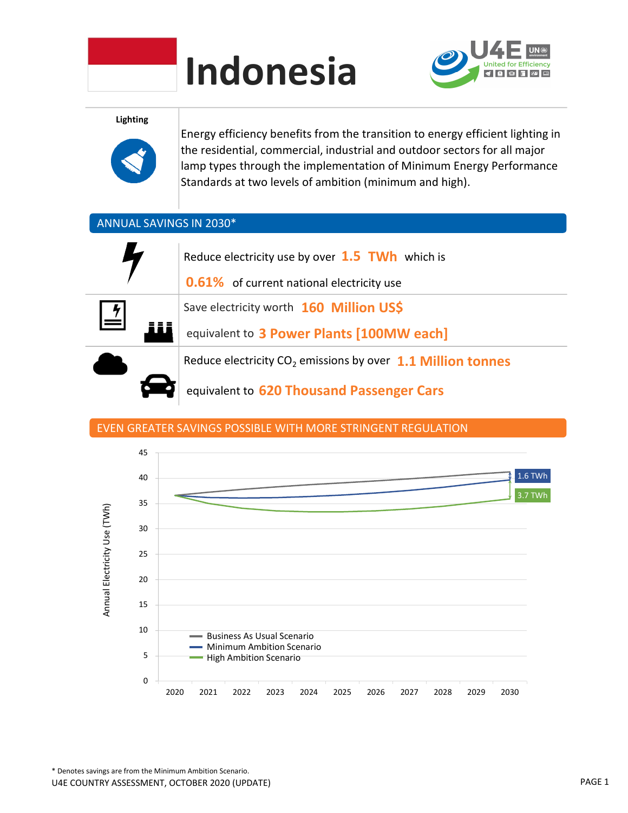

# Indonesia



Lighting



Energy efficiency benefits from the transition to energy efficient lighting in the residential, commercial, industrial and outdoor sectors for all major lamp types through the implementation of Minimum Energy Performance Standards at two levels of ambition (minimum and high).

## ANNUAL SAVINGS IN 2030\*



## EVEN GREATER SAVINGS POSSIBLE WITH MORE STRINGENT REGULATION

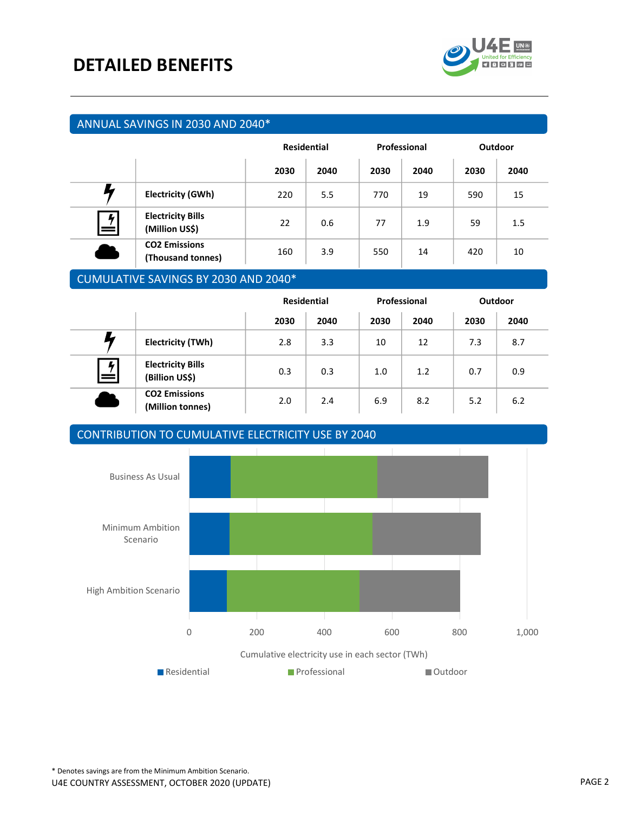

## ANNUAL SAVINGS IN 2030 AND 2040\*

|        |                                            | <b>Residential</b> |      | Professional |      | <b>Outdoor</b> |      |
|--------|--------------------------------------------|--------------------|------|--------------|------|----------------|------|
|        |                                            | 2030               | 2040 | 2030         | 2040 | 2030           | 2040 |
|        | <b>Electricity (GWh)</b>                   | 220                | 5.5  | 770          | 19   | 590            | 15   |
| 4<br>= | <b>Electricity Bills</b><br>(Million US\$) | 22                 | 0.6  | 77           | 1.9  | 59             | 1.5  |
|        | <b>CO2 Emissions</b><br>(Thousand tonnes)  | 160                | 3.9  | 550          | 14   | 420            | 10   |

## CUMULATIVE SAVINGS BY 2030 AND 2040\*

|   |                                            | <b>Residential</b> |      | Professional |      | Outdoor |      |
|---|--------------------------------------------|--------------------|------|--------------|------|---------|------|
|   |                                            | 2030               | 2040 | 2030         | 2040 | 2030    | 2040 |
|   | <b>Electricity (TWh)</b>                   | 2.8                | 3.3  | 10           | 12   | 7.3     | 8.7  |
| 4 | <b>Electricity Bills</b><br>(Billion US\$) | 0.3                | 0.3  | 1.0          | 1.2  | 0.7     | 0.9  |
|   | <b>CO2 Emissions</b><br>(Million tonnes)   | 2.0                | 2.4  | 6.9          | 8.2  | 5.2     | 6.2  |

## CONTRIBUTION TO CUMULATIVE ELECTRICITY USE BY 2040